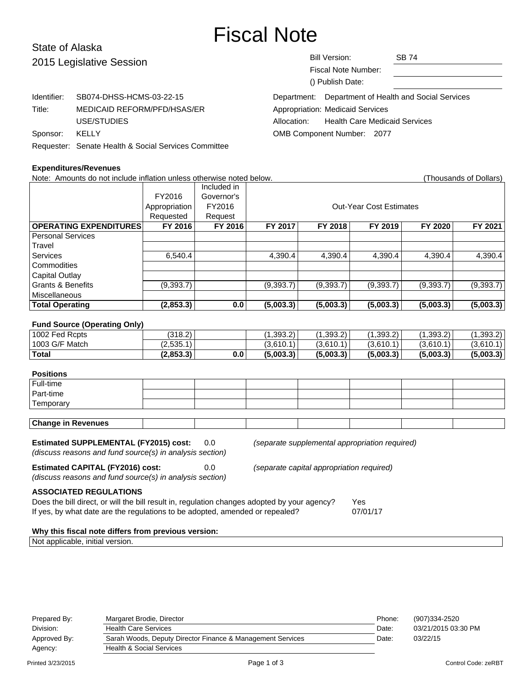# Fiscal Note

# State of Alaska 2015 Leg

| 2015 Legislative Session |                                                      | <b>Bill Version:</b><br>Fiscal Note Number:<br>() Publish Date: |                                      | <b>SB 74</b>                                         |  |
|--------------------------|------------------------------------------------------|-----------------------------------------------------------------|--------------------------------------|------------------------------------------------------|--|
| Identifier:              | SB074-DHSS-HCMS-03-22-15                             |                                                                 |                                      | Department: Department of Health and Social Services |  |
| Title:                   | MEDICAID REFORM/PFD/HSAS/ER                          |                                                                 | Appropriation: Medicaid Services     |                                                      |  |
|                          | USE/STUDIES                                          | Allocation:                                                     | <b>Health Care Medicaid Services</b> |                                                      |  |
| Sponsor:                 | KELLY                                                | <b>OMB Component Number: 2077</b>                               |                                      |                                                      |  |
|                          | Requester: Senate Health & Social Services Committee |                                                                 |                                      |                                                      |  |

#### **Expenditures/Revenues**

Note: Amounts do not include inflation unless otherwise noted below. Thousands of Dollars) (Thousands of Dollars) Included in FY2016 Governor's Appropriation FY2016 | Research Cut-Year Cost Estimates Requested Request **OPERATING EXPENDITURES FY 2016 FY 2016 FY 2017 FY 2018 FY 2019 FY 2020 FY 2021** Personal Services Travel Services | 6,540.4 | | 4,390.4 | 4,390.4 | 4,390.4 | 4,390.4 | 4,390.4 **Commodities** Capital Outlay Grants & Benefits (9,393.7) (9,393.7) (9,393.7) (9,393.7) (9,393.7) (9,393.7) (9,393.7) Miscellaneous **Total Operating (2,853.3) 0.0 (5,003.3) (5,003.3) (5,003.3) (5,003.3) (5,003.3) Fund Source (Operating Only)** 1002 Fed Rcpts (318.2) (1,393.2) (1,393.2) (1,393.2) (1,393.2) (1,393.2) 1003 G/F Match (2,535.1) (3,610.1) (3,610.1) (3,610.1) (3,610.1) (3,610.1) (3,610.1) **Total (2,853.3) 0.0 (5,003.3) (5,003.3) (5,003.3) (5,003.3) (5,003.3) Positions** Full-time Part-time **Temporary Change in Revenues Estimated SUPPLEMENTAL (FY2015) cost:** 0.0 (separate supplemental appropriation required) (discuss reasons and fund source(s) in analysis section) **Estimated CAPITAL (FY2016) cost:** 0.0 (separate capital appropriation required)

(discuss reasons and fund source(s) in analysis section)

**ASSOCIATED REGULATIONS**

Does the bill direct, or will the bill result in, regulation changes adopted by your agency? Yes If yes, by what date are the regulations to be adopted, amended or repealed? 07/01/17

# **Why this fiscal note differs from previous version:**

Not applicable, initial version.

| Prepared By: | Margaret Brodie, Director                                  | Phone: | (907)334-2520       |
|--------------|------------------------------------------------------------|--------|---------------------|
| Division:    | <b>Health Care Services</b>                                | Date:  | 03/21/2015 03:30 PM |
| Approved By: | Sarah Woods, Deputy Director Finance & Management Services | Date:  | 03/22/15            |
| Agency:      | <b>Health &amp; Social Services</b>                        |        |                     |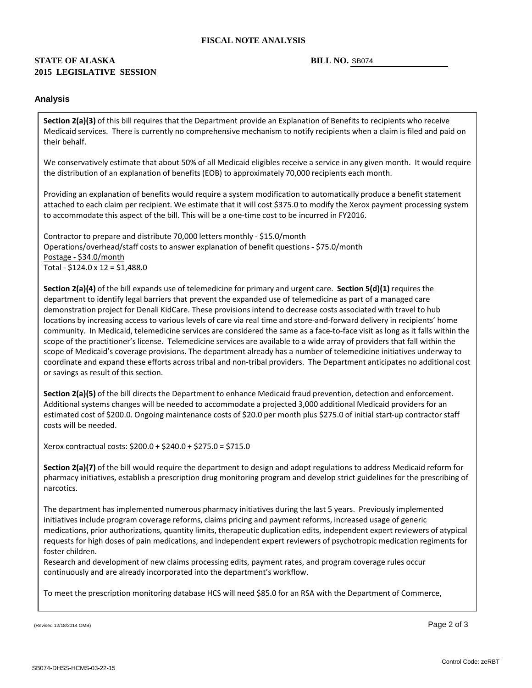# **STATE OF ALASKA 2015 LEGISLATIVE SESSION**

#### BILL NO. SB074

### **Analysis**

**Section 2(a)(3)** of this bill requires that the Department provide an Explanation of Benefits to recipients who receive Medicaid services. There is currently no comprehensive mechanism to notify recipients when a claim is filed and paid on their behalf.

We conservatively estimate that about 50% of all Medicaid eligibles receive a service in any given month. It would require the distribution of an explanation of benefits (EOB) to approximately 70,000 recipients each month.

Providing an explanation of benefits would require a system modification to automatically produce a benefit statement attached to each claim per recipient. We estimate that it will cost \$375.0 to modify the Xerox payment processing system to accommodate this aspect of the bill. This will be a one -time cost to be incurred in FY2016.

Contractor to prepare and distribute 70,000 letters monthly - \$15.0/month Operations/overhead/staff costs to answer explanation of benefit questions - \$75.0/month <u> Postage - \$34.0/month</u> Total - \$124.0 x 12 = \$1,488.0

**Section 2(a)(4)** of the bill expands use of telemedicine for primary and urgent care. **Section 5(d)(1)** requires the department to identify legal barriers that prevent the expanded use of telemedicine as part of a managed care demonstration project for Denali KidCare. These provisions intend to decrease costs associated with travel to hub locations by increasing access to various levels of care via real time and store -and -forward delivery in recipients' home community. In Medicaid, telemedicine services are considered the same as a face -to -face visit as long as it falls within the scope of the practitioner's license. Telemedicine services are available to a wide array of providers that fall within the scope of Medicaid's coverage provisions. The department already has a number of telemedicine initiatives underway to coordinate and expand these efforts across tribal and non -tribal providers. The Department anticipates no additional cost or savings as result of this section.

**Section 2(a)(5)** of the bill directs the Department to enhance Medicaid fraud prevention, detection and enforcement. Additional systems changes will be needed to accommodate a projected 3,000 additional Medicaid providers for an estimated cost of \$200.0. Ongoing maintenance costs of \$20.0 per month plus \$275.0 of initial start -up contractor staff costs will be needed.

Xerox contractual costs: \$200.0 + \$240.0 + \$275.0 = \$715.0

**Section 2(a)(7)** of the bill would require the department to design and adopt regulations to address Medicaid reform for pharmacy initiatives, establish a prescription drug monitoring program and develop strict guidelines for the prescribing of narcotics.

The department has implemented numerous pharmacy initiatives during the last 5 years. Previously implemented initiatives include program coverage reforms, claims pricing and payment reforms, increased usage of generic medications, prior authorizations, quantity limits, therapeutic duplication edits, independent expert reviewers of atypical requests for high doses of pain medications, and independent expert reviewers of psychotropic medication regiments for foster children.

Research and development of new claims processing edits, payment rates, and program coverage rules occur continuously and are already incorporated into the department's workflow.

To meet the prescription monitoring database HCS will need \$85.0 for an RSA with the Department of Commerce,

(Revised 12/18/2014 OMB)  $\overline{\phantom{a}}$  Page 2 of 3